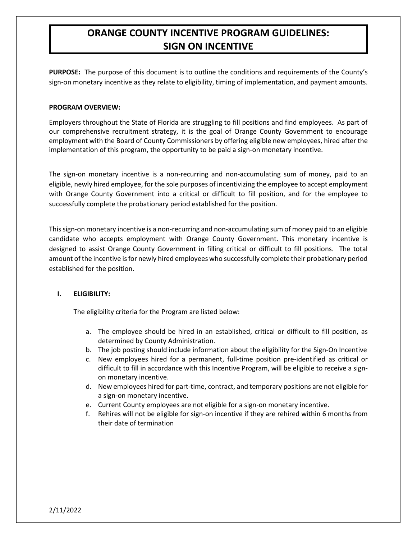# **ORANGE COUNTY INCENTIVE PROGRAM GUIDELINES: SIGN ON INCENTIVE**

**PURPOSE:** The purpose of this document is to outline the conditions and requirements of the County's sign-on monetary incentive as they relate to eligibility, timing of implementation, and payment amounts.

#### **PROGRAM OVERVIEW:**

Employers throughout the State of Florida are struggling to fill positions and find employees. As part of our comprehensive recruitment strategy, it is the goal of Orange County Government to encourage employment with the Board of County Commissioners by offering eligible new employees, hired after the implementation of this program, the opportunity to be paid a sign-on monetary incentive.

The sign-on monetary incentive is a non-recurring and non-accumulating sum of money, paid to an eligible, newly hired employee, for the sole purposes of incentivizing the employee to accept employment with Orange County Government into a critical or difficult to fill position, and for the employee to successfully complete the probationary period established for the position.

This sign-on monetary incentive is a non-recurring and non-accumulating sum of money paid to an eligible candidate who accepts employment with Orange County Government. This monetary incentive is designed to assist Orange County Government in filling critical or difficult to fill positions. The total amount of the incentive is for newly hired employees who successfully complete their probationary period established for the position.

## **I. ELIGIBILITY:**

The eligibility criteria for the Program are listed below:

- a. The employee should be hired in an established, critical or difficult to fill position, as determined by County Administration.
- b. The job posting should include information about the eligibility for the Sign-On Incentive
- c. New employees hired for a permanent, full-time position pre-identified as critical or difficult to fill in accordance with this Incentive Program, will be eligible to receive a signon monetary incentive.
- d. New employees hired for part-time, contract, and temporary positions are not eligible for a sign-on monetary incentive.
- e. Current County employees are not eligible for a sign-on monetary incentive.
- f. Rehires will not be eligible for sign-on incentive if they are rehired within 6 months from their date of termination